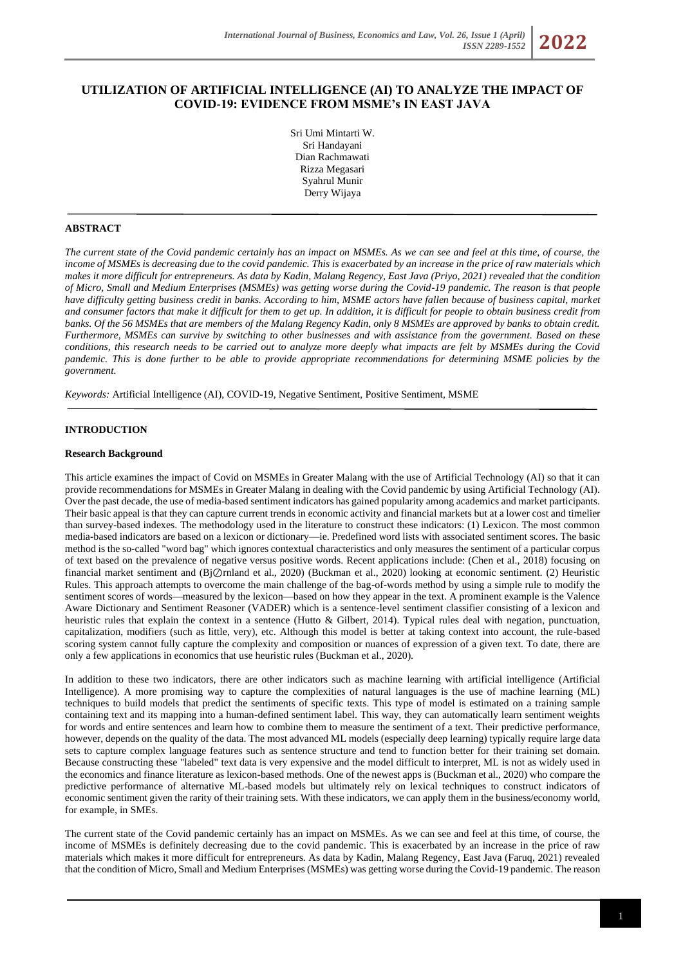*ISSN 2289-1552* **2022**

# **UTILIZATION OF ARTIFICIAL INTELLIGENCE (AI) TO ANALYZE THE IMPACT OF COVID-19: EVIDENCE FROM MSME's IN EAST JAVA**

Sri Umi Mintarti W. Sri Handayani Dian Rachmawati Rizza Megasari Syahrul Munir Derry Wijaya

## **ABSTRACT**

*The current state of the Covid pandemic certainly has an impact on MSMEs. As we can see and feel at this time, of course, the income of MSMEs is decreasing due to the covid pandemic. This is exacerbated by an increase in the price of raw materials which makes it more difficult for entrepreneurs. As data by Kadin, Malang Regency, East Java (Priyo, 2021) revealed that the condition of Micro, Small and Medium Enterprises (MSMEs) was getting worse during the Covid-19 pandemic. The reason is that people have difficulty getting business credit in banks. According to him, MSME actors have fallen because of business capital, market and consumer factors that make it difficult for them to get up. In addition, it is difficult for people to obtain business credit from banks. Of the 56 MSMEs that are members of the Malang Regency Kadin, only 8 MSMEs are approved by banks to obtain credit. Furthermore, MSMEs can survive by switching to other businesses and with assistance from the government. Based on these conditions, this research needs to be carried out to analyze more deeply what impacts are felt by MSMEs during the Covid pandemic. This is done further to be able to provide appropriate recommendations for determining MSME policies by the government.*

*Keywords:* Artificial Intelligence (AI), COVID-19, Negative Sentiment, Positive Sentiment, MSME

#### **INTRODUCTION**

#### **Research Background**

This article examines the impact of Covid on MSMEs in Greater Malang with the use of Artificial Technology (AI) so that it can provide recommendations for MSMEs in Greater Malang in dealing with the Covid pandemic by using Artificial Technology (AI). Over the past decade, the use of media-based sentiment indicators has gained popularity among academics and market participants. Their basic appeal is that they can capture current trends in economic activity and financial markets but at a lower cost and timelier than survey-based indexes. The methodology used in the literature to construct these indicators: (1) Lexicon. The most common media-based indicators are based on a lexicon or dictionary—ie. Predefined word lists with associated sentiment scores. The basic method is the so-called "word bag" which ignores contextual characteristics and only measures the sentiment of a particular corpus of text based on the prevalence of negative versus positive words. Recent applications include: (Chen et al., 2018) focusing on financial market sentiment and (Bj⊘rnland et al., 2020) (Buckman et al., 2020) looking at economic sentiment. (2) Heuristic Rules. This approach attempts to overcome the main challenge of the bag-of-words method by using a simple rule to modify the sentiment scores of words—measured by the lexicon—based on how they appear in the text. A prominent example is the Valence Aware Dictionary and Sentiment Reasoner (VADER) which is a sentence-level sentiment classifier consisting of a lexicon and heuristic rules that explain the context in a sentence (Hutto & Gilbert, 2014). Typical rules deal with negation, punctuation, capitalization, modifiers (such as little, very), etc. Although this model is better at taking context into account, the rule-based scoring system cannot fully capture the complexity and composition or nuances of expression of a given text. To date, there are only a few applications in economics that use heuristic rules (Buckman et al., 2020).

In addition to these two indicators, there are other indicators such as machine learning with artificial intelligence (Artificial Intelligence). A more promising way to capture the complexities of natural languages is the use of machine learning (ML) techniques to build models that predict the sentiments of specific texts. This type of model is estimated on a training sample containing text and its mapping into a human-defined sentiment label. This way, they can automatically learn sentiment weights for words and entire sentences and learn how to combine them to measure the sentiment of a text. Their predictive performance, however, depends on the quality of the data. The most advanced ML models (especially deep learning) typically require large data sets to capture complex language features such as sentence structure and tend to function better for their training set domain. Because constructing these "labeled" text data is very expensive and the model difficult to interpret, ML is not as widely used in the economics and finance literature as lexicon-based methods. One of the newest apps is (Buckman et al., 2020) who compare the predictive performance of alternative ML-based models but ultimately rely on lexical techniques to construct indicators of economic sentiment given the rarity of their training sets. With these indicators, we can apply them in the business/economy world, for example, in SMEs.

The current state of the Covid pandemic certainly has an impact on MSMEs. As we can see and feel at this time, of course, the income of MSMEs is definitely decreasing due to the covid pandemic. This is exacerbated by an increase in the price of raw materials which makes it more difficult for entrepreneurs. As data by Kadin, Malang Regency, East Java (Faruq, 2021) revealed that the condition of Micro, Small and Medium Enterprises (MSMEs) was getting worse during the Covid-19 pandemic. The reason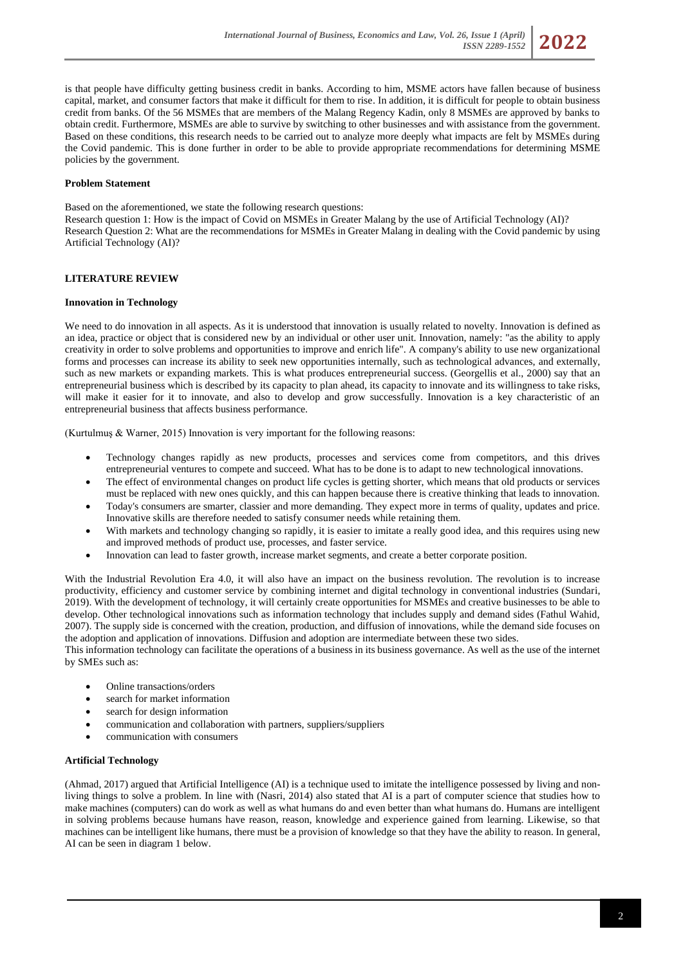

is that people have difficulty getting business credit in banks. According to him, MSME actors have fallen because of business capital, market, and consumer factors that make it difficult for them to rise. In addition, it is difficult for people to obtain business credit from banks. Of the 56 MSMEs that are members of the Malang Regency Kadin, only 8 MSMEs are approved by banks to obtain credit. Furthermore, MSMEs are able to survive by switching to other businesses and with assistance from the government. Based on these conditions, this research needs to be carried out to analyze more deeply what impacts are felt by MSMEs during the Covid pandemic. This is done further in order to be able to provide appropriate recommendations for determining MSME policies by the government.

## **Problem Statement**

Based on the aforementioned, we state the following research questions:

Research question 1: How is the impact of Covid on MSMEs in Greater Malang by the use of Artificial Technology (AI)? Research Question 2: What are the recommendations for MSMEs in Greater Malang in dealing with the Covid pandemic by using Artificial Technology (AI)?

## **LITERATURE REVIEW**

#### **Innovation in Technology**

We need to do innovation in all aspects. As it is understood that innovation is usually related to novelty. Innovation is defined as an idea, practice or object that is considered new by an individual or other user unit. Innovation, namely: "as the ability to apply creativity in order to solve problems and opportunities to improve and enrich life". A company's ability to use new organizational forms and processes can increase its ability to seek new opportunities internally, such as technological advances, and externally, such as new markets or expanding markets. This is what produces entrepreneurial success. (Georgellis et al., 2000) say that an entrepreneurial business which is described by its capacity to plan ahead, its capacity to innovate and its willingness to take risks, will make it easier for it to innovate, and also to develop and grow successfully. Innovation is a key characteristic of an entrepreneurial business that affects business performance.

(Kurtulmuş & Warner, 2015) Innovation is very important for the following reasons:

- Technology changes rapidly as new products, processes and services come from competitors, and this drives entrepreneurial ventures to compete and succeed. What has to be done is to adapt to new technological innovations.
- The effect of environmental changes on product life cycles is getting shorter, which means that old products or services must be replaced with new ones quickly, and this can happen because there is creative thinking that leads to innovation.
- Today's consumers are smarter, classier and more demanding. They expect more in terms of quality, updates and price. Innovative skills are therefore needed to satisfy consumer needs while retaining them.
- With markets and technology changing so rapidly, it is easier to imitate a really good idea, and this requires using new and improved methods of product use, processes, and faster service.
- Innovation can lead to faster growth, increase market segments, and create a better corporate position.

With the Industrial Revolution Era 4.0, it will also have an impact on the business revolution. The revolution is to increase productivity, efficiency and customer service by combining internet and digital technology in conventional industries (Sundari, 2019). With the development of technology, it will certainly create opportunities for MSMEs and creative businesses to be able to develop. Other technological innovations such as information technology that includes supply and demand sides (Fathul Wahid, 2007). The supply side is concerned with the creation, production, and diffusion of innovations, while the demand side focuses on the adoption and application of innovations. Diffusion and adoption are intermediate between these two sides.

This information technology can facilitate the operations of a business in its business governance. As well as the use of the internet by SMEs such as:

- Online transactions/orders
- search for market information
- search for design information
- communication and collaboration with partners, suppliers/suppliers
- communication with consumers

### **Artificial Technology**

(Ahmad, 2017) argued that Artificial Intelligence (AI) is a technique used to imitate the intelligence possessed by living and nonliving things to solve a problem. In line with (Nasri, 2014) also stated that AI is a part of computer science that studies how to make machines (computers) can do work as well as what humans do and even better than what humans do. Humans are intelligent in solving problems because humans have reason, reason, knowledge and experience gained from learning. Likewise, so that machines can be intelligent like humans, there must be a provision of knowledge so that they have the ability to reason. In general, AI can be seen in diagram 1 below.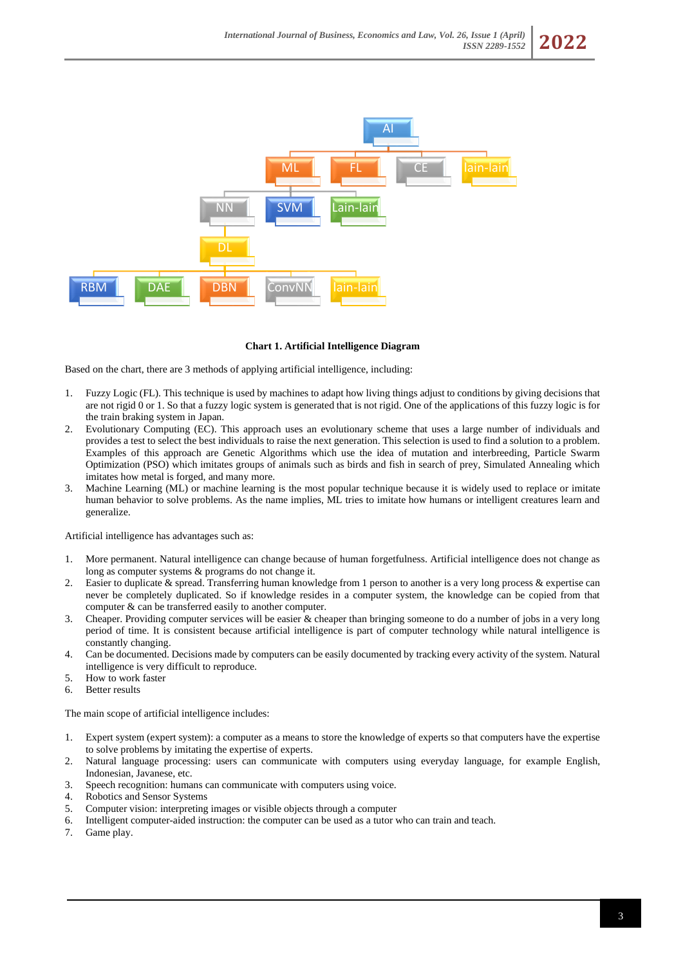

#### **Chart 1. Artificial Intelligence Diagram**

Based on the chart, there are 3 methods of applying artificial intelligence, including:

- 1. Fuzzy Logic (FL). This technique is used by machines to adapt how living things adjust to conditions by giving decisions that are not rigid 0 or 1. So that a fuzzy logic system is generated that is not rigid. One of the applications of this fuzzy logic is for the train braking system in Japan.
- 2. Evolutionary Computing (EC). This approach uses an evolutionary scheme that uses a large number of individuals and provides a test to select the best individuals to raise the next generation. This selection is used to find a solution to a problem. Examples of this approach are Genetic Algorithms which use the idea of mutation and interbreeding, Particle Swarm Optimization (PSO) which imitates groups of animals such as birds and fish in search of prey, Simulated Annealing which imitates how metal is forged, and many more.
- 3. Machine Learning (ML) or machine learning is the most popular technique because it is widely used to replace or imitate human behavior to solve problems. As the name implies, ML tries to imitate how humans or intelligent creatures learn and generalize.

Artificial intelligence has advantages such as:

- 1. More permanent. Natural intelligence can change because of human forgetfulness. Artificial intelligence does not change as long as computer systems & programs do not change it.
- 2. Easier to duplicate & spread. Transferring human knowledge from 1 person to another is a very long process & expertise can never be completely duplicated. So if knowledge resides in a computer system, the knowledge can be copied from that computer & can be transferred easily to another computer.
- 3. Cheaper. Providing computer services will be easier & cheaper than bringing someone to do a number of jobs in a very long period of time. It is consistent because artificial intelligence is part of computer technology while natural intelligence is constantly changing.
- 4. Can be documented. Decisions made by computers can be easily documented by tracking every activity of the system. Natural intelligence is very difficult to reproduce.
- 5. How to work faster
- 6. Better results

The main scope of artificial intelligence includes:

- 1. Expert system (expert system): a computer as a means to store the knowledge of experts so that computers have the expertise to solve problems by imitating the expertise of experts.
- 2. Natural language processing: users can communicate with computers using everyday language, for example English, Indonesian, Javanese, etc.
- 3. Speech recognition: humans can communicate with computers using voice.
- 4. Robotics and Sensor Systems
- 5. Computer vision: interpreting images or visible objects through a computer
- 6. Intelligent computer-aided instruction: the computer can be used as a tutor who can train and teach.
- 7. Game play.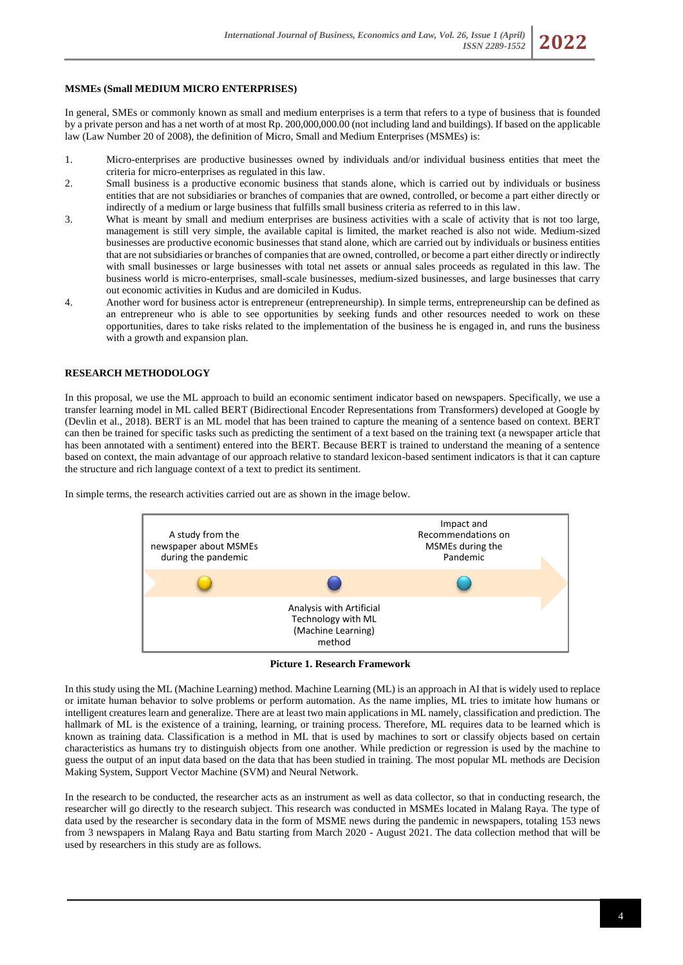## **MSMEs (Small MEDIUM MICRO ENTERPRISES)**

In general, SMEs or commonly known as small and medium enterprises is a term that refers to a type of business that is founded by a private person and has a net worth of at most Rp. 200,000,000.00 (not including land and buildings). If based on the applicable law (Law Number 20 of 2008), the definition of Micro, Small and Medium Enterprises (MSMEs) is:

- 1. Micro-enterprises are productive businesses owned by individuals and/or individual business entities that meet the criteria for micro-enterprises as regulated in this law.
- 2. Small business is a productive economic business that stands alone, which is carried out by individuals or business entities that are not subsidiaries or branches of companies that are owned, controlled, or become a part either directly or indirectly of a medium or large business that fulfills small business criteria as referred to in this law.
- 3. What is meant by small and medium enterprises are business activities with a scale of activity that is not too large, management is still very simple, the available capital is limited, the market reached is also not wide. Medium-sized businesses are productive economic businesses that stand alone, which are carried out by individuals or business entities that are not subsidiaries or branches of companies that are owned, controlled, or become a part either directly or indirectly with small businesses or large businesses with total net assets or annual sales proceeds as regulated in this law. The business world is micro-enterprises, small-scale businesses, medium-sized businesses, and large businesses that carry out economic activities in Kudus and are domiciled in Kudus.
- 4. Another word for business actor is entrepreneur (entrepreneurship). In simple terms, entrepreneurship can be defined as an entrepreneur who is able to see opportunities by seeking funds and other resources needed to work on these opportunities, dares to take risks related to the implementation of the business he is engaged in, and runs the business with a growth and expansion plan.

## **RESEARCH METHODOLOGY**

In this proposal, we use the ML approach to build an economic sentiment indicator based on newspapers. Specifically, we use a transfer learning model in ML called BERT (Bidirectional Encoder Representations from Transformers) developed at Google by (Devlin et al., 2018). BERT is an ML model that has been trained to capture the meaning of a sentence based on context. BERT can then be trained for specific tasks such as predicting the sentiment of a text based on the training text (a newspaper article that has been annotated with a sentiment) entered into the BERT. Because BERT is trained to understand the meaning of a sentence based on context, the main advantage of our approach relative to standard lexicon-based sentiment indicators is that it can capture the structure and rich language context of a text to predict its sentiment.

In simple terms, the research activities carried out are as shown in the image below.



**Picture 1. Research Framework**

In this study using the ML (Machine Learning) method. Machine Learning (ML) is an approach in AI that is widely used to replace or imitate human behavior to solve problems or perform automation. As the name implies, ML tries to imitate how humans or intelligent creatures learn and generalize. There are at least two main applications in ML namely, classification and prediction. The hallmark of ML is the existence of a training, learning, or training process. Therefore, ML requires data to be learned which is known as training data. Classification is a method in ML that is used by machines to sort or classify objects based on certain characteristics as humans try to distinguish objects from one another. While prediction or regression is used by the machine to guess the output of an input data based on the data that has been studied in training. The most popular ML methods are Decision Making System, Support Vector Machine (SVM) and Neural Network.

In the research to be conducted, the researcher acts as an instrument as well as data collector, so that in conducting research, the researcher will go directly to the research subject. This research was conducted in MSMEs located in Malang Raya. The type of data used by the researcher is secondary data in the form of MSME news during the pandemic in newspapers, totaling 153 news from 3 newspapers in Malang Raya and Batu starting from March 2020 - August 2021. The data collection method that will be used by researchers in this study are as follows.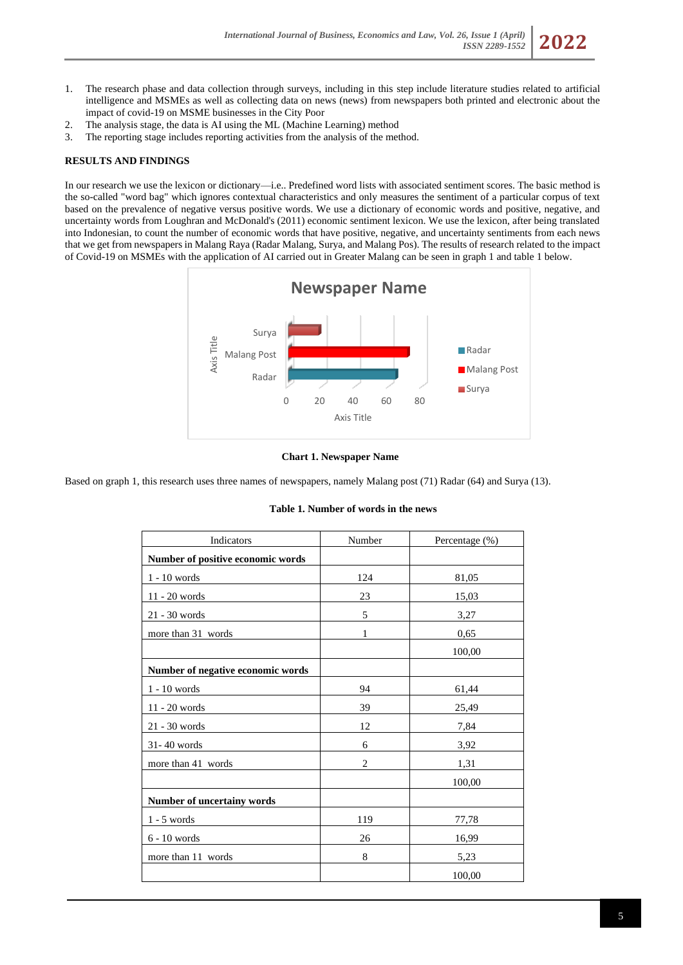- 1. The research phase and data collection through surveys, including in this step include literature studies related to artificial intelligence and MSMEs as well as collecting data on news (news) from newspapers both printed and electronic about the impact of covid-19 on MSME businesses in the City Poor
- 2. The analysis stage, the data is AI using the ML (Machine Learning) method
- 3. The reporting stage includes reporting activities from the analysis of the method.

# **RESULTS AND FINDINGS**

In our research we use the lexicon or dictionary—i.e.. Predefined word lists with associated sentiment scores. The basic method is the so-called "word bag" which ignores contextual characteristics and only measures the sentiment of a particular corpus of text based on the prevalence of negative versus positive words. We use a dictionary of economic words and positive, negative, and uncertainty words from Loughran and McDonald's (2011) economic sentiment lexicon. We use the lexicon, after being translated into Indonesian, to count the number of economic words that have positive, negative, and uncertainty sentiments from each news that we get from newspapers in Malang Raya (Radar Malang, Surya, and Malang Pos). The results of research related to the impact of Covid-19 on MSMEs with the application of AI carried out in Greater Malang can be seen in graph 1 and table 1 below.



## **Chart 1. Newspaper Name**

Based on graph 1, this research uses three names of newspapers, namely Malang post (71) Radar (64) and Surya (13).

## **Table 1. Number of words in the news**

| Indicators                        | Number         | Percentage (%) |
|-----------------------------------|----------------|----------------|
| Number of positive economic words |                |                |
| $1 - 10$ words                    | 124            | 81,05          |
| $11 - 20$ words                   | 23             | 15,03          |
| 21 - 30 words                     | 5              | 3,27           |
| more than 31 words                | 1              | 0,65           |
|                                   |                | 100,00         |
| Number of negative economic words |                |                |
| $1 - 10$ words                    | 94             | 61,44          |
| $11 - 20$ words                   | 39             | 25,49          |
| 21 - 30 words                     | 12             | 7,84           |
| 31-40 words                       | 6              | 3,92           |
| more than 41 words                | $\overline{2}$ | 1,31           |
|                                   |                | 100,00         |
| Number of uncertainy words        |                |                |
| $1 - 5$ words                     | 119            | 77,78          |
| $6 - 10$ words                    | 26             | 16,99          |
| more than 11 words                | 8              | 5,23           |
|                                   |                | 100,00         |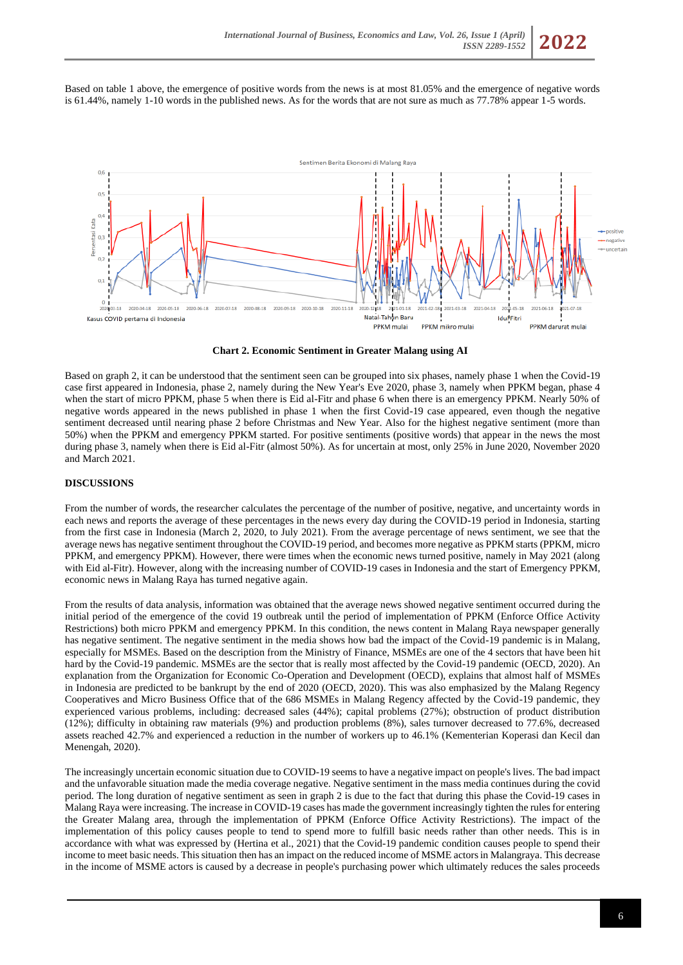Based on table 1 above, the emergence of positive words from the news is at most 81.05% and the emergence of negative words is 61.44%, namely 1-10 words in the published news. As for the words that are not sure as much as 77.78% appear 1-5 words.



**Chart 2. Economic Sentiment in Greater Malang using AI**

Based on graph 2, it can be understood that the sentiment seen can be grouped into six phases, namely phase 1 when the Covid-19 case first appeared in Indonesia, phase 2, namely during the New Year's Eve 2020, phase 3, namely when PPKM began, phase 4 when the start of micro PPKM, phase 5 when there is Eid al-Fitr and phase 6 when there is an emergency PPKM. Nearly 50% of negative words appeared in the news published in phase 1 when the first Covid-19 case appeared, even though the negative sentiment decreased until nearing phase 2 before Christmas and New Year. Also for the highest negative sentiment (more than 50%) when the PPKM and emergency PPKM started. For positive sentiments (positive words) that appear in the news the most during phase 3, namely when there is Eid al-Fitr (almost 50%). As for uncertain at most, only 25% in June 2020, November 2020 and March 2021.

# **DISCUSSIONS**

From the number of words, the researcher calculates the percentage of the number of positive, negative, and uncertainty words in each news and reports the average of these percentages in the news every day during the COVID-19 period in Indonesia, starting from the first case in Indonesia (March 2, 2020, to July 2021). From the average percentage of news sentiment, we see that the average news has negative sentiment throughout the COVID-19 period, and becomes more negative as PPKM starts (PPKM, micro PPKM, and emergency PPKM). However, there were times when the economic news turned positive, namely in May 2021 (along with Eid al-Fitr). However, along with the increasing number of COVID-19 cases in Indonesia and the start of Emergency PPKM, economic news in Malang Raya has turned negative again.

From the results of data analysis, information was obtained that the average news showed negative sentiment occurred during the initial period of the emergence of the covid 19 outbreak until the period of implementation of PPKM (Enforce Office Activity Restrictions) both micro PPKM and emergency PPKM. In this condition, the news content in Malang Raya newspaper generally has negative sentiment. The negative sentiment in the media shows how bad the impact of the Covid-19 pandemic is in Malang, especially for MSMEs. Based on the description from the Ministry of Finance, MSMEs are one of the 4 sectors that have been hit hard by the Covid-19 pandemic. MSMEs are the sector that is really most affected by the Covid-19 pandemic (OECD, 2020). An explanation from the Organization for Economic Co-Operation and Development (OECD), explains that almost half of MSMEs in Indonesia are predicted to be bankrupt by the end of 2020 (OECD, 2020). This was also emphasized by the Malang Regency Cooperatives and Micro Business Office that of the 686 MSMEs in Malang Regency affected by the Covid-19 pandemic, they experienced various problems, including: decreased sales (44%); capital problems (27%); obstruction of product distribution (12%); difficulty in obtaining raw materials (9%) and production problems (8%), sales turnover decreased to 77.6%, decreased assets reached 42.7% and experienced a reduction in the number of workers up to 46.1% (Kementerian Koperasi dan Kecil dan Menengah, 2020).

The increasingly uncertain economic situation due to COVID-19 seems to have a negative impact on people's lives. The bad impact and the unfavorable situation made the media coverage negative. Negative sentiment in the mass media continues during the covid period. The long duration of negative sentiment as seen in graph 2 is due to the fact that during this phase the Covid-19 cases in Malang Raya were increasing. The increase in COVID-19 cases has made the government increasingly tighten the rules for entering the Greater Malang area, through the implementation of PPKM (Enforce Office Activity Restrictions). The impact of the implementation of this policy causes people to tend to spend more to fulfill basic needs rather than other needs. This is in accordance with what was expressed by (Hertina et al., 2021) that the Covid-19 pandemic condition causes people to spend their income to meet basic needs. This situation then has an impact on the reduced income of MSME actors in Malangraya. This decrease in the income of MSME actors is caused by a decrease in people's purchasing power which ultimately reduces the sales proceeds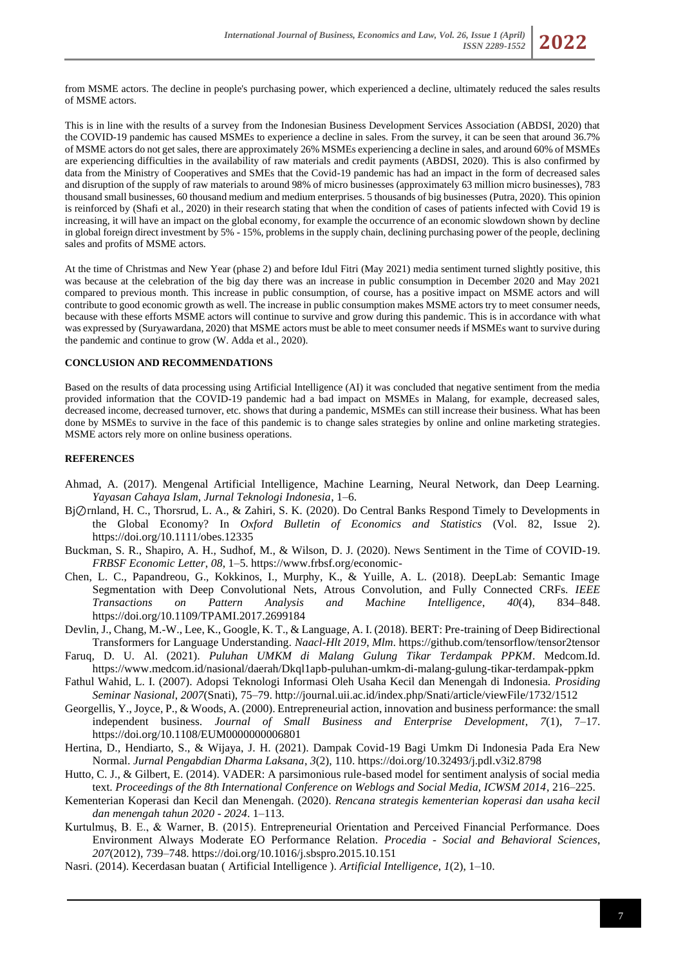

from MSME actors. The decline in people's purchasing power, which experienced a decline, ultimately reduced the sales results of MSME actors.

This is in line with the results of a survey from the Indonesian Business Development Services Association (ABDSI, 2020) that the COVID-19 pandemic has caused MSMEs to experience a decline in sales. From the survey, it can be seen that around 36.7% of MSME actors do not get sales, there are approximately 26% MSMEs experiencing a decline in sales, and around 60% of MSMEs are experiencing difficulties in the availability of raw materials and credit payments (ABDSI, 2020). This is also confirmed by data from the Ministry of Cooperatives and SMEs that the Covid-19 pandemic has had an impact in the form of decreased sales and disruption of the supply of raw materials to around 98% of micro businesses (approximately 63 million micro businesses), 783 thousand small businesses, 60 thousand medium and medium enterprises. 5 thousands of big businesses (Putra, 2020). This opinion is reinforced by (Shafi et al., 2020) in their research stating that when the condition of cases of patients infected with Covid 19 is increasing, it will have an impact on the global economy, for example the occurrence of an economic slowdown shown by decline in global foreign direct investment by 5% - 15%, problems in the supply chain, declining purchasing power of the people, declining sales and profits of MSME actors.

At the time of Christmas and New Year (phase 2) and before Idul Fitri (May 2021) media sentiment turned slightly positive, this was because at the celebration of the big day there was an increase in public consumption in December 2020 and May 2021 compared to previous month. This increase in public consumption, of course, has a positive impact on MSME actors and will contribute to good economic growth as well. The increase in public consumption makes MSME actors try to meet consumer needs, because with these efforts MSME actors will continue to survive and grow during this pandemic. This is in accordance with what was expressed by (Suryawardana, 2020) that MSME actors must be able to meet consumer needs if MSMEs want to survive during the pandemic and continue to grow (W. Adda et al., 2020).

## **CONCLUSION AND RECOMMENDATIONS**

Based on the results of data processing using Artificial Intelligence (AI) it was concluded that negative sentiment from the media provided information that the COVID-19 pandemic had a bad impact on MSMEs in Malang, for example, decreased sales, decreased income, decreased turnover, etc. shows that during a pandemic, MSMEs can still increase their business. What has been done by MSMEs to survive in the face of this pandemic is to change sales strategies by online and online marketing strategies. MSME actors rely more on online business operations.

## **REFERENCES**

- Ahmad, A. (2017). Mengenal Artificial Intelligence, Machine Learning, Neural Network, dan Deep Learning. *Yayasan Cahaya Islam, Jurnal Teknologi Indonesia*, 1–6.
- Bj⊘rnland, H. C., Thorsrud, L. A., & Zahiri, S. K. (2020). Do Central Banks Respond Timely to Developments in the Global Economy? In *Oxford Bulletin of Economics and Statistics* (Vol. 82, Issue 2). https://doi.org/10.1111/obes.12335
- Buckman, S. R., Shapiro, A. H., Sudhof, M., & Wilson, D. J. (2020). News Sentiment in the Time of COVID-19. *FRBSF Economic Letter*, *08*, 1–5. https://www.frbsf.org/economic-
- Chen, L. C., Papandreou, G., Kokkinos, I., Murphy, K., & Yuille, A. L. (2018). DeepLab: Semantic Image Segmentation with Deep Convolutional Nets, Atrous Convolution, and Fully Connected CRFs. *IEEE Transactions on Pattern Analysis and Machine Intelligence*, *40*(4), 834–848. https://doi.org/10.1109/TPAMI.2017.2699184
- Devlin, J., Chang, M.-W., Lee, K., Google, K. T., & Language, A. I. (2018). BERT: Pre-training of Deep Bidirectional Transformers for Language Understanding. *Naacl-Hlt 2019*, *Mlm*. https://github.com/tensorflow/tensor2tensor
- Faruq, D. U. Al. (2021). *Puluhan UMKM di Malang Gulung Tikar Terdampak PPKM*. Medcom.Id. https://www.medcom.id/nasional/daerah/Dkql1apb-puluhan-umkm-di-malang-gulung-tikar-terdampak-ppkm
- Fathul Wahid, L. I. (2007). Adopsi Teknologi Informasi Oleh Usaha Kecil dan Menengah di Indonesia. *Prosiding Seminar Nasional*, *2007*(Snati), 75–79. http://journal.uii.ac.id/index.php/Snati/article/viewFile/1732/1512
- Georgellis, Y., Joyce, P., & Woods, A. (2000). Entrepreneurial action, innovation and business performance: the small independent business. *Journal of Small Business and Enterprise Development*, *7*(1), 7–17. https://doi.org/10.1108/EUM0000000006801
- Hertina, D., Hendiarto, S., & Wijaya, J. H. (2021). Dampak Covid-19 Bagi Umkm Di Indonesia Pada Era New Normal. *Jurnal Pengabdian Dharma Laksana*, *3*(2), 110. https://doi.org/10.32493/j.pdl.v3i2.8798
- Hutto, C. J., & Gilbert, E. (2014). VADER: A parsimonious rule-based model for sentiment analysis of social media text. *Proceedings of the 8th International Conference on Weblogs and Social Media, ICWSM 2014*, 216–225.
- Kementerian Koperasi dan Kecil dan Menengah. (2020). *Rencana strategis kementerian koperasi dan usaha kecil dan menengah tahun 2020 - 2024*. 1–113.
- Kurtulmuş, B. E., & Warner, B. (2015). Entrepreneurial Orientation and Perceived Financial Performance. Does Environment Always Moderate EO Performance Relation. *Procedia - Social and Behavioral Sciences*, *207*(2012), 739–748. https://doi.org/10.1016/j.sbspro.2015.10.151
- Nasri. (2014). Kecerdasan buatan ( Artificial Intelligence ). *Artificial Intelligence*, *1*(2), 1–10.